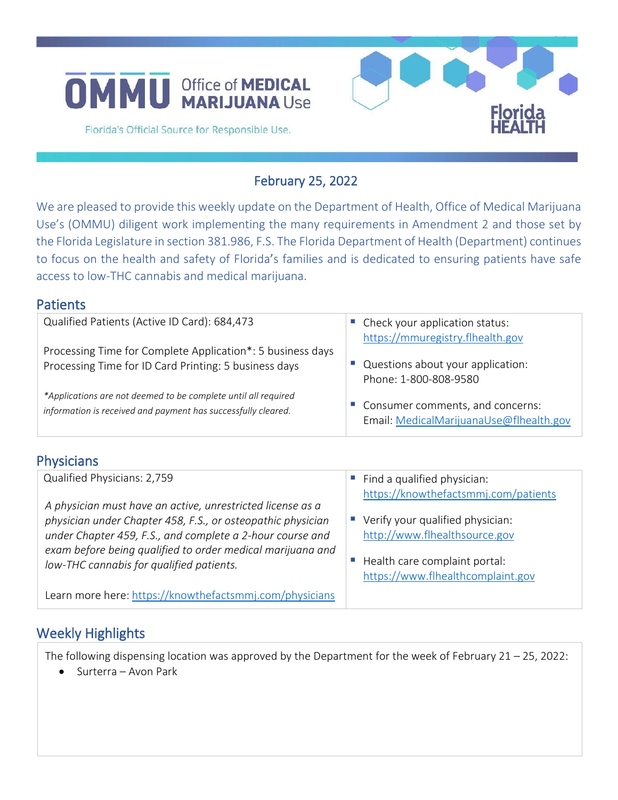



Florida's Official Source for Responsible Use.

## February 25, 2022

We are pleased to provide this weekly update on the Department of Health, Office of Medical Marijuana Use's (OMMU) diligent work implementing the many requirements in Amendment 2 and those set by the Florida Legislature in section 381.986, F.S. The Florida Department of Health (Department) continues to focus on the health and safety of Florida's families and is dedicated to ensuring patients have safe access to low-THC cannabis and medical marijuana.

| ו סנוכוונא                                                     |                                                                      |
|----------------------------------------------------------------|----------------------------------------------------------------------|
| Qualified Patients (Active ID Card): 684,473                   | • Check your application status:<br>https://mmuregistry.flhealth.gov |
| Processing Time for Complete Application*: 5 business days     | Questions about your application:                                    |
| Processing Time for ID Card Printing: 5 business days          | Phone: 1-800-808-9580                                                |
| *Applications are not deemed to be complete until all required | Consumer comments, and concerns:                                     |
| information is received and payment has successfully cleared.  | Email: MedicalMarijuanaUse@flhealth.gov                              |

### **Physicians**

**Patients** 

| Qualified Physicians: 2,759                                                                                                                                                                                                                                                                      | Find a qualified physician:<br>ш<br>https://knowthefactsmmj.com/patients                           |
|--------------------------------------------------------------------------------------------------------------------------------------------------------------------------------------------------------------------------------------------------------------------------------------------------|----------------------------------------------------------------------------------------------------|
| A physician must have an active, unrestricted license as a<br>physician under Chapter 458, F.S., or osteopathic physician<br>under Chapter 459, F.S., and complete a 2-hour course and<br>exam before being qualified to order medical marijuana and<br>low-THC cannabis for qualified patients. | Verify your qualified physician:<br>http://www.flhealthsource.gov<br>Health care complaint portal: |
| Learn more here: https://knowthefactsmmj.com/physicians                                                                                                                                                                                                                                          | https://www.flhealthcomplaint.gov                                                                  |

# Weekly Highlights

The following dispensing location was approved by the Department for the week of February 21 – 25, 2022:

• Surterra – Avon Park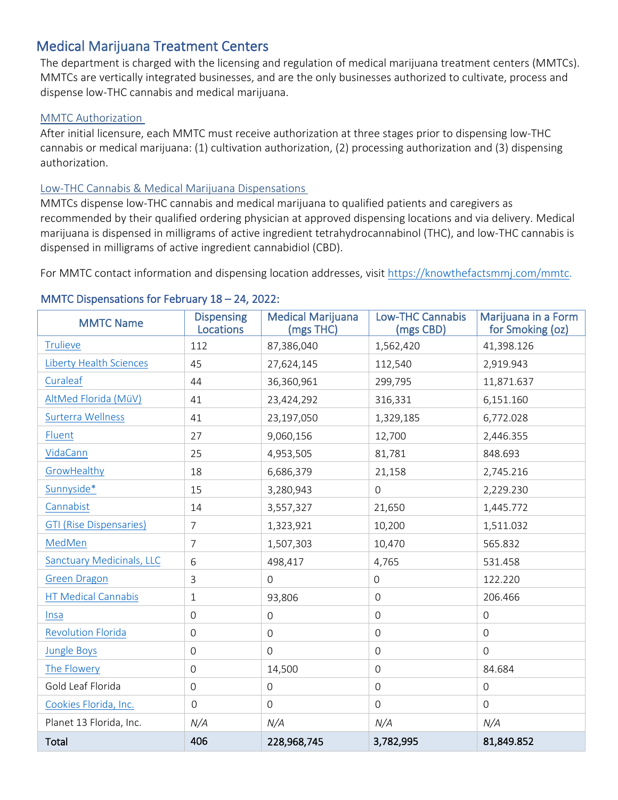# Medical Marijuana Treatment Centers

The department is charged with the licensing and regulation of medical marijuana treatment centers (MMTCs). MMTCs are vertically integrated businesses, and are the only businesses authorized to cultivate, process and dispense low-THC cannabis and medical marijuana.

#### MMTC Authorization

After initial licensure, each MMTC must receive authorization at three stages prior to dispensing low-THC cannabis or medical marijuana: (1) cultivation authorization, (2) processing authorization and (3) dispensing authorization.

### Low-THC Cannabis & Medical Marijuana Dispensations

MMTCs dispense low-THC cannabis and medical marijuana to qualified patients and caregivers as recommended by their qualified ordering physician at approved dispensing locations and via delivery. Medical marijuana is dispensed in milligrams of active ingredient tetrahydrocannabinol (THC), and low-THC cannabis is dispensed in milligrams of active ingredient cannabidiol (CBD).

For MMTC contact information and dispensing location addresses, visit [https://knowthefactsmmj.com/mmtc.](https://knowthefactsmmj.com/mmtc/)

### MMTC Dispensations for February 18 – 24, 2022:

| <b>MMTC Name</b>                 | <b>Dispensing</b><br>Locations | <b>Medical Marijuana</b><br>(mgs THC) | <b>Low-THC Cannabis</b><br>(mgs CBD) | Marijuana in a Form<br>for Smoking (oz) |
|----------------------------------|--------------------------------|---------------------------------------|--------------------------------------|-----------------------------------------|
| <b>Trulieve</b>                  | 112                            | 87,386,040                            | 1,562,420                            | 41,398.126                              |
| <b>Liberty Health Sciences</b>   | 45                             | 27,624,145                            | 112,540                              | 2,919.943                               |
| Curaleaf                         | 44                             | 36,360,961                            | 299,795                              | 11,871.637                              |
| AltMed Florida (MüV)             | 41                             | 23,424,292                            | 316,331                              | 6,151.160                               |
| Surterra Wellness                | 41                             | 23,197,050                            | 1,329,185                            | 6,772.028                               |
| Fluent                           | 27                             | 9,060,156                             | 12,700                               | 2,446.355                               |
| VidaCann                         | 25                             | 4,953,505                             | 81,781                               | 848.693                                 |
| GrowHealthy                      | 18                             | 6,686,379                             | 21,158                               | 2,745.216                               |
| Sunnyside*                       | 15                             | 3,280,943                             | $\overline{0}$                       | 2,229.230                               |
| Cannabist                        | 14                             | 3,557,327                             | 21,650                               | 1,445.772                               |
| <b>GTI (Rise Dispensaries)</b>   | 7                              | 1,323,921                             | 10,200                               | 1,511.032                               |
| MedMen                           | 7                              | 1,507,303                             | 10,470                               | 565.832                                 |
| <b>Sanctuary Medicinals, LLC</b> | 6                              | 498,417                               | 4,765                                | 531.458                                 |
| <b>Green Dragon</b>              | 3                              | $\overline{O}$                        | $\mathbf 0$                          | 122.220                                 |
| <b>HT Medical Cannabis</b>       | $\mathbf 1$                    | 93,806                                | $\overline{0}$                       | 206.466                                 |
| Insa                             | $\mathbf 0$                    | $\overline{0}$                        | $\overline{0}$                       | $\mathbf 0$                             |
| <b>Revolution Florida</b>        | $\mathsf{O}\xspace$            | $\overline{0}$                        | $\overline{0}$                       | $\overline{O}$                          |
| <b>Jungle Boys</b>               | $\mathbf 0$                    | $\overline{0}$                        | $\overline{0}$                       | $\overline{O}$                          |
| The Flowery                      | $\mathbf 0$                    | 14,500                                | $\mathbf 0$                          | 84.684                                  |
| Gold Leaf Florida                | $\mathbf 0$                    | $\overline{0}$                        | $\overline{0}$                       | $\mathbf 0$                             |
| Cookies Florida, Inc.            | $\overline{0}$                 | $\overline{0}$                        | $\overline{0}$                       | $\overline{0}$                          |
| Planet 13 Florida, Inc.          | N/A                            | N/A                                   | N/A                                  | N/A                                     |
| Total                            | 406                            | 228,968,745                           | 3,782,995                            | 81,849.852                              |